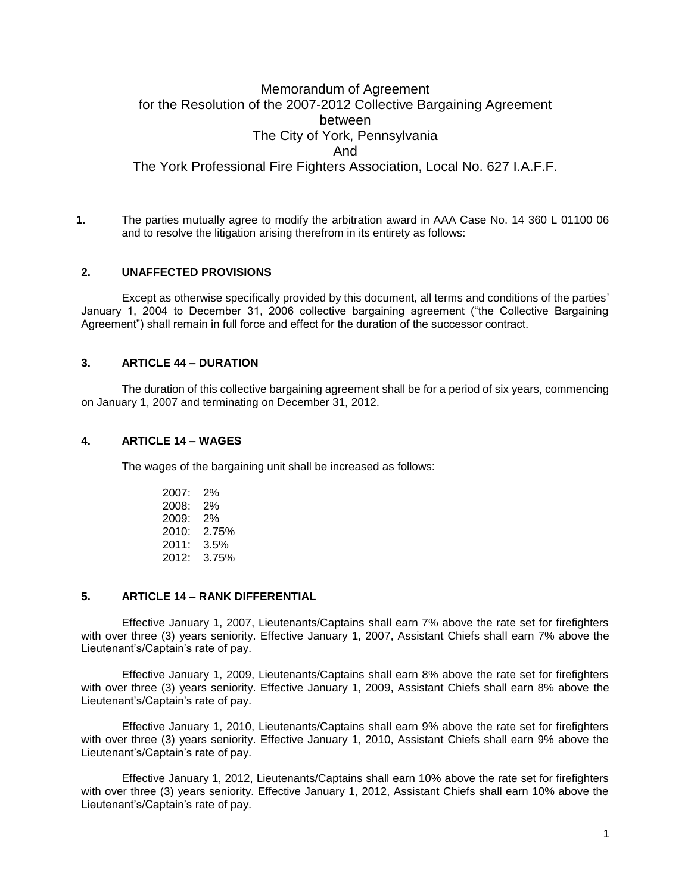# Memorandum of Agreement for the Resolution of the 2007-2012 Collective Bargaining Agreement between The City of York, Pennsylvania And The York Professional Fire Fighters Association, Local No. 627 I.A.F.F.

**1.** The parties mutually agree to modify the arbitration award in AAA Case No. 14 360 L 01100 06 and to resolve the litigation arising therefrom in its entirety as follows:

### **2. UNAFFECTED PROVISIONS**

Except as otherwise specifically provided by this document, all terms and conditions of the parties' January 1, 2004 to December 31, 2006 collective bargaining agreement ("the Collective Bargaining Agreement") shall remain in full force and effect for the duration of the successor contract.

## **3. ARTICLE 44 – DURATION**

The duration of this collective bargaining agreement shall be for a period of six years, commencing on January 1, 2007 and terminating on December 31, 2012.

#### **4. ARTICLE 14 – WAGES**

The wages of the bargaining unit shall be increased as follows:

| 2007: | 2%    |
|-------|-------|
| 2008: | 2%    |
| 2009: | 2%    |
| 2010: | 2.75% |
| 2011: | 3.5%  |
| 2012: | 3.75% |

### **5. ARTICLE 14 – RANK DIFFERENTIAL**

Effective January 1, 2007, Lieutenants/Captains shall earn 7% above the rate set for firefighters with over three (3) years seniority. Effective January 1, 2007, Assistant Chiefs shall earn 7% above the Lieutenant's/Captain's rate of pay.

Effective January 1, 2009, Lieutenants/Captains shall earn 8% above the rate set for firefighters with over three (3) years seniority. Effective January 1, 2009, Assistant Chiefs shall earn 8% above the Lieutenant's/Captain's rate of pay.

Effective January 1, 2010, Lieutenants/Captains shall earn 9% above the rate set for firefighters with over three (3) years seniority. Effective January 1, 2010, Assistant Chiefs shall earn 9% above the Lieutenant's/Captain's rate of pay.

Effective January 1, 2012, Lieutenants/Captains shall earn 10% above the rate set for firefighters with over three (3) years seniority. Effective January 1, 2012, Assistant Chiefs shall earn 10% above the Lieutenant's/Captain's rate of pay.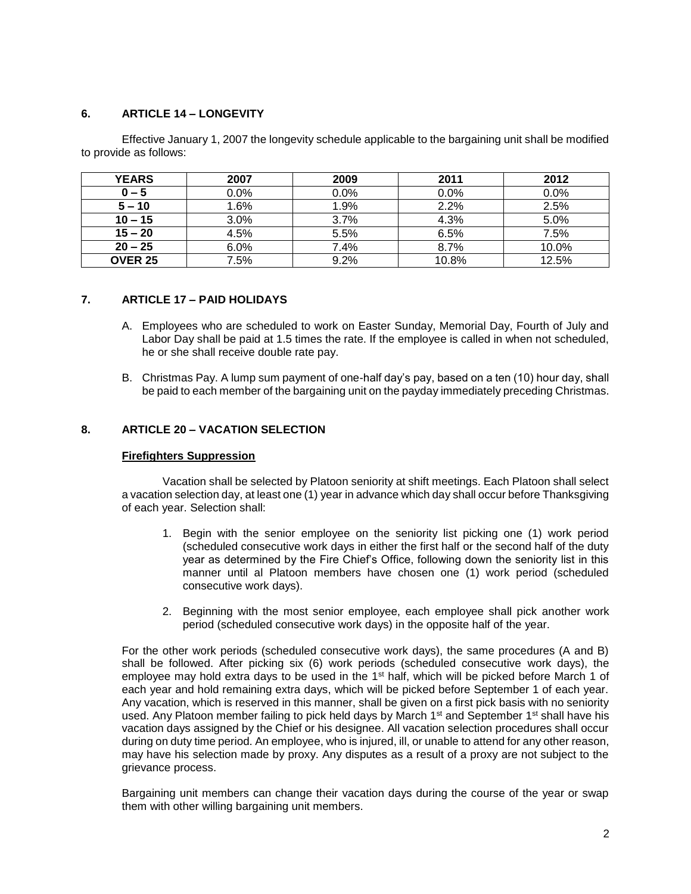## **6. ARTICLE 14 – LONGEVITY**

Effective January 1, 2007 the longevity schedule applicable to the bargaining unit shall be modified to provide as follows:

| <b>YEARS</b>   | 2007 | 2009    | 2011  | 2012    |
|----------------|------|---------|-------|---------|
| $0 - 5$        | 0.0% | $0.0\%$ | 0.0%  | $0.0\%$ |
| $5 - 10$       | 1.6% | 1.9%    | 2.2%  | 2.5%    |
| $10 - 15$      | 3.0% | 3.7%    | 4.3%  | 5.0%    |
| $15 - 20$      | 4.5% | 5.5%    | 6.5%  | 7.5%    |
| $20 - 25$      | 6.0% | 7.4%    | 8.7%  | 10.0%   |
| <b>OVER 25</b> | 7.5% | 9.2%    | 10.8% | 12.5%   |

## **7. ARTICLE 17 – PAID HOLIDAYS**

- A. Employees who are scheduled to work on Easter Sunday, Memorial Day, Fourth of July and Labor Day shall be paid at 1.5 times the rate. If the employee is called in when not scheduled, he or she shall receive double rate pay.
- B. Christmas Pay. A lump sum payment of one-half day's pay, based on a ten (10) hour day, shall be paid to each member of the bargaining unit on the payday immediately preceding Christmas.

## **8. ARTICLE 20 – VACATION SELECTION**

### **Firefighters Suppression**

Vacation shall be selected by Platoon seniority at shift meetings. Each Platoon shall select a vacation selection day, at least one (1) year in advance which day shall occur before Thanksgiving of each year. Selection shall:

- 1. Begin with the senior employee on the seniority list picking one (1) work period (scheduled consecutive work days in either the first half or the second half of the duty year as determined by the Fire Chief's Office, following down the seniority list in this manner until al Platoon members have chosen one (1) work period (scheduled consecutive work days).
- 2. Beginning with the most senior employee, each employee shall pick another work period (scheduled consecutive work days) in the opposite half of the year.

For the other work periods (scheduled consecutive work days), the same procedures (A and B) shall be followed. After picking six (6) work periods (scheduled consecutive work days), the employee may hold extra days to be used in the  $1<sup>st</sup>$  half, which will be picked before March 1 of each year and hold remaining extra days, which will be picked before September 1 of each year. Any vacation, which is reserved in this manner, shall be given on a first pick basis with no seniority used. Any Platoon member failing to pick held days by March 1<sup>st</sup> and September 1<sup>st</sup> shall have his vacation days assigned by the Chief or his designee. All vacation selection procedures shall occur during on duty time period. An employee, who is injured, ill, or unable to attend for any other reason, may have his selection made by proxy. Any disputes as a result of a proxy are not subject to the grievance process.

Bargaining unit members can change their vacation days during the course of the year or swap them with other willing bargaining unit members.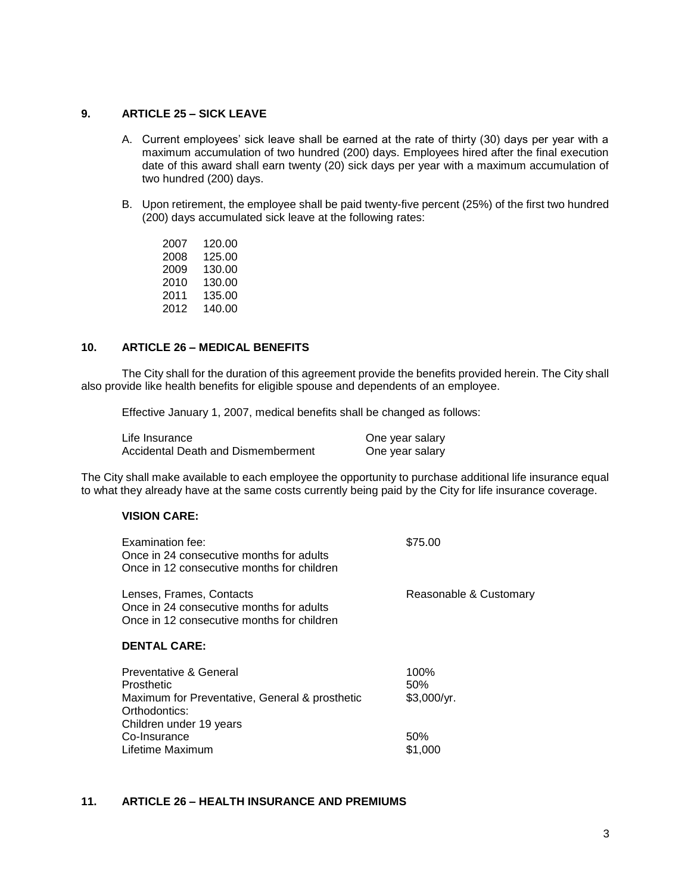## **9. ARTICLE 25 – SICK LEAVE**

- A. Current employees' sick leave shall be earned at the rate of thirty (30) days per year with a maximum accumulation of two hundred (200) days. Employees hired after the final execution date of this award shall earn twenty (20) sick days per year with a maximum accumulation of two hundred (200) days.
- B. Upon retirement, the employee shall be paid twenty-five percent (25%) of the first two hundred (200) days accumulated sick leave at the following rates:
	- 2007 120.00 2008 125.00 2009 130.00 2010 130.00 2011 135.00 2012 140.00

## **10. ARTICLE 26 – MEDICAL BENEFITS**

The City shall for the duration of this agreement provide the benefits provided herein. The City shall also provide like health benefits for eligible spouse and dependents of an employee.

Effective January 1, 2007, medical benefits shall be changed as follows:

| Life Insurance                     | One year salary |
|------------------------------------|-----------------|
| Accidental Death and Dismemberment | One year salary |

The City shall make available to each employee the opportunity to purchase additional life insurance equal to what they already have at the same costs currently being paid by the City for life insurance coverage.

## **VISION CARE:**

| Examination fee:<br>Once in 24 consecutive months for adults<br>Once in 12 consecutive months for children         | \$75.00                    |
|--------------------------------------------------------------------------------------------------------------------|----------------------------|
| Lenses, Frames, Contacts<br>Once in 24 consecutive months for adults<br>Once in 12 consecutive months for children | Reasonable & Customary     |
| <b>DENTAL CARE:</b>                                                                                                |                            |
| Preventative & General<br>Prosthetic<br>Maximum for Preventative, General & prosthetic                             | 100%<br>50%<br>\$3,000/yr. |
| Orthodontics:<br>Children under 19 years                                                                           |                            |
| Co-Insurance                                                                                                       | .50%                       |

Lifetime Maximum \$1,000

### **11. ARTICLE 26 – HEALTH INSURANCE AND PREMIUMS**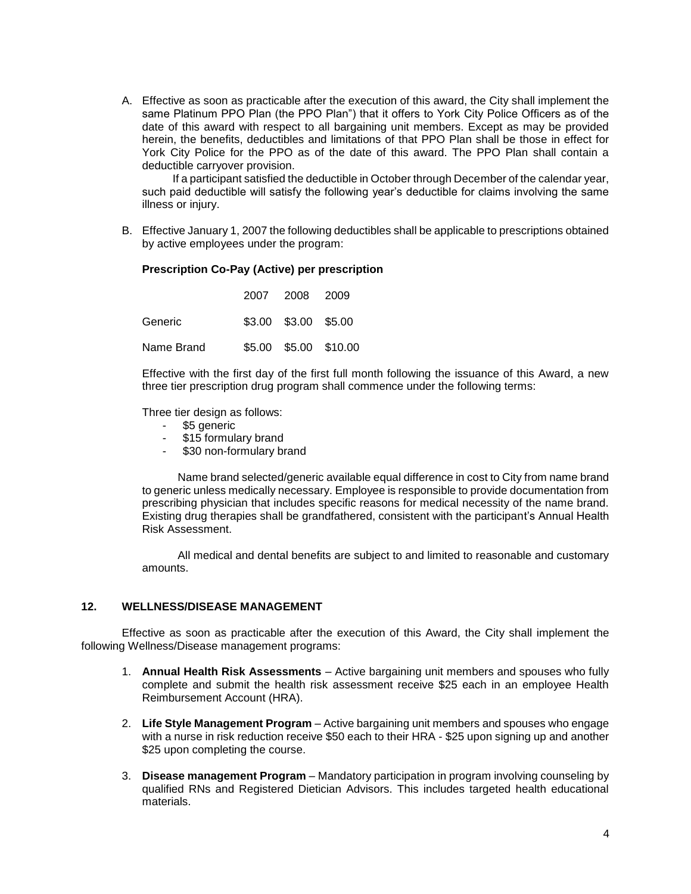A. Effective as soon as practicable after the execution of this award, the City shall implement the same Platinum PPO Plan (the PPO Plan") that it offers to York City Police Officers as of the date of this award with respect to all bargaining unit members. Except as may be provided herein, the benefits, deductibles and limitations of that PPO Plan shall be those in effect for York City Police for the PPO as of the date of this award. The PPO Plan shall contain a deductible carryover provision.

If a participant satisfied the deductible in October through December of the calendar year, such paid deductible will satisfy the following year's deductible for claims involving the same illness or injury.

B. Effective January 1, 2007 the following deductibles shall be applicable to prescriptions obtained by active employees under the program:

### **Prescription Co-Pay (Active) per prescription**

|            | 2007 2008 2009       |                       |
|------------|----------------------|-----------------------|
| Generic    | \$3.00 \$3.00 \$5.00 |                       |
| Name Brand |                      | \$5.00 \$5.00 \$10.00 |

Effective with the first day of the first full month following the issuance of this Award, a new three tier prescription drug program shall commence under the following terms:

Three tier design as follows:

- \$5 generic
- \$15 formulary brand
- \$30 non-formulary brand

Name brand selected/generic available equal difference in cost to City from name brand to generic unless medically necessary. Employee is responsible to provide documentation from prescribing physician that includes specific reasons for medical necessity of the name brand. Existing drug therapies shall be grandfathered, consistent with the participant's Annual Health Risk Assessment.

All medical and dental benefits are subject to and limited to reasonable and customary amounts.

#### **12. WELLNESS/DISEASE MANAGEMENT**

Effective as soon as practicable after the execution of this Award, the City shall implement the following Wellness/Disease management programs:

- 1. **Annual Health Risk Assessments** Active bargaining unit members and spouses who fully complete and submit the health risk assessment receive \$25 each in an employee Health Reimbursement Account (HRA).
- 2. **Life Style Management Program** Active bargaining unit members and spouses who engage with a nurse in risk reduction receive \$50 each to their HRA - \$25 upon signing up and another \$25 upon completing the course.
- 3. **Disease management Program** Mandatory participation in program involving counseling by qualified RNs and Registered Dietician Advisors. This includes targeted health educational materials.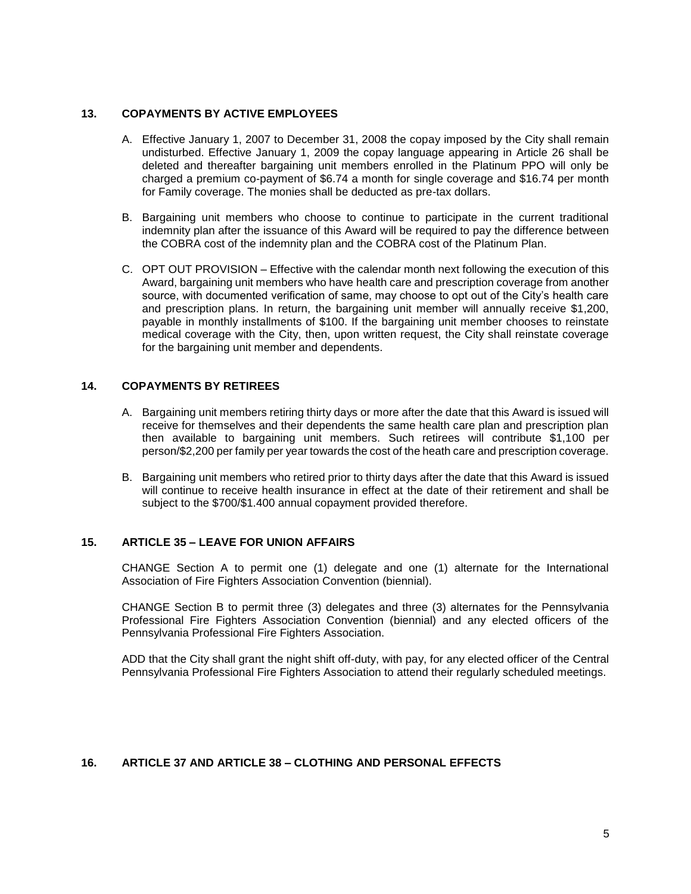## **13. COPAYMENTS BY ACTIVE EMPLOYEES**

- A. Effective January 1, 2007 to December 31, 2008 the copay imposed by the City shall remain undisturbed. Effective January 1, 2009 the copay language appearing in Article 26 shall be deleted and thereafter bargaining unit members enrolled in the Platinum PPO will only be charged a premium co-payment of \$6.74 a month for single coverage and \$16.74 per month for Family coverage. The monies shall be deducted as pre-tax dollars.
- B. Bargaining unit members who choose to continue to participate in the current traditional indemnity plan after the issuance of this Award will be required to pay the difference between the COBRA cost of the indemnity plan and the COBRA cost of the Platinum Plan.
- C. OPT OUT PROVISION Effective with the calendar month next following the execution of this Award, bargaining unit members who have health care and prescription coverage from another source, with documented verification of same, may choose to opt out of the City's health care and prescription plans. In return, the bargaining unit member will annually receive \$1,200, payable in monthly installments of \$100. If the bargaining unit member chooses to reinstate medical coverage with the City, then, upon written request, the City shall reinstate coverage for the bargaining unit member and dependents.

## **14. COPAYMENTS BY RETIREES**

- A. Bargaining unit members retiring thirty days or more after the date that this Award is issued will receive for themselves and their dependents the same health care plan and prescription plan then available to bargaining unit members. Such retirees will contribute \$1,100 per person/\$2,200 per family per year towards the cost of the heath care and prescription coverage.
- B. Bargaining unit members who retired prior to thirty days after the date that this Award is issued will continue to receive health insurance in effect at the date of their retirement and shall be subject to the \$700/\$1.400 annual copayment provided therefore.

## **15. ARTICLE 35 – LEAVE FOR UNION AFFAIRS**

CHANGE Section A to permit one (1) delegate and one (1) alternate for the International Association of Fire Fighters Association Convention (biennial).

CHANGE Section B to permit three (3) delegates and three (3) alternates for the Pennsylvania Professional Fire Fighters Association Convention (biennial) and any elected officers of the Pennsylvania Professional Fire Fighters Association.

ADD that the City shall grant the night shift off-duty, with pay, for any elected officer of the Central Pennsylvania Professional Fire Fighters Association to attend their regularly scheduled meetings.

## **16. ARTICLE 37 AND ARTICLE 38 – CLOTHING AND PERSONAL EFFECTS**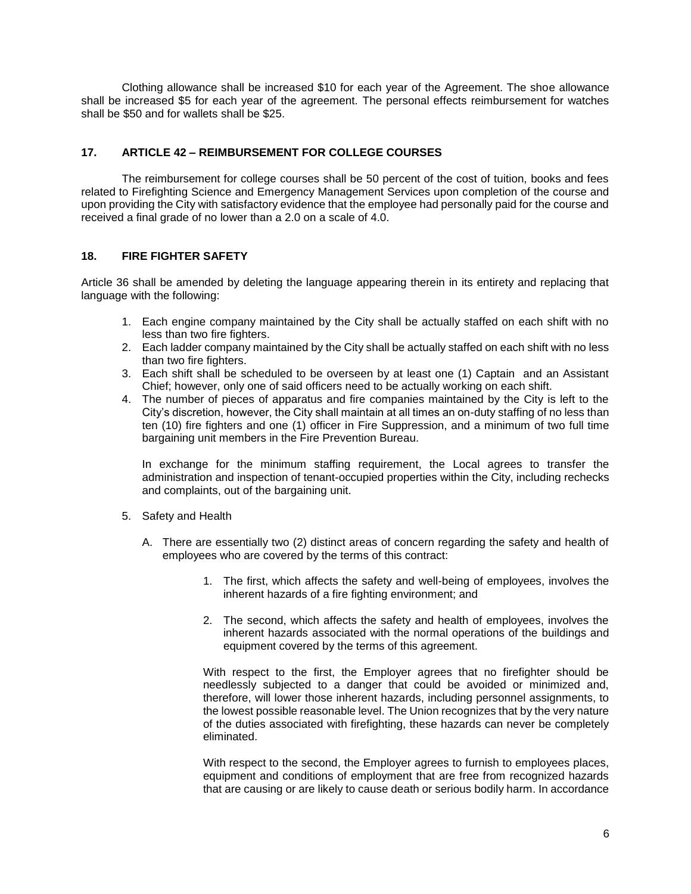Clothing allowance shall be increased \$10 for each year of the Agreement. The shoe allowance shall be increased \$5 for each year of the agreement. The personal effects reimbursement for watches shall be \$50 and for wallets shall be \$25.

## **17. ARTICLE 42 – REIMBURSEMENT FOR COLLEGE COURSES**

The reimbursement for college courses shall be 50 percent of the cost of tuition, books and fees related to Firefighting Science and Emergency Management Services upon completion of the course and upon providing the City with satisfactory evidence that the employee had personally paid for the course and received a final grade of no lower than a 2.0 on a scale of 4.0.

## **18. FIRE FIGHTER SAFETY**

Article 36 shall be amended by deleting the language appearing therein in its entirety and replacing that language with the following:

- 1. Each engine company maintained by the City shall be actually staffed on each shift with no less than two fire fighters.
- 2. Each ladder company maintained by the City shall be actually staffed on each shift with no less than two fire fighters.
- 3. Each shift shall be scheduled to be overseen by at least one (1) Captain and an Assistant Chief; however, only one of said officers need to be actually working on each shift.
- 4. The number of pieces of apparatus and fire companies maintained by the City is left to the City's discretion, however, the City shall maintain at all times an on-duty staffing of no less than ten (10) fire fighters and one (1) officer in Fire Suppression, and a minimum of two full time bargaining unit members in the Fire Prevention Bureau.

In exchange for the minimum staffing requirement, the Local agrees to transfer the administration and inspection of tenant-occupied properties within the City, including rechecks and complaints, out of the bargaining unit.

- 5. Safety and Health
	- A. There are essentially two (2) distinct areas of concern regarding the safety and health of employees who are covered by the terms of this contract:
		- 1. The first, which affects the safety and well-being of employees, involves the inherent hazards of a fire fighting environment; and
		- 2. The second, which affects the safety and health of employees, involves the inherent hazards associated with the normal operations of the buildings and equipment covered by the terms of this agreement.

With respect to the first, the Employer agrees that no firefighter should be needlessly subjected to a danger that could be avoided or minimized and, therefore, will lower those inherent hazards, including personnel assignments, to the lowest possible reasonable level. The Union recognizes that by the very nature of the duties associated with firefighting, these hazards can never be completely eliminated.

With respect to the second, the Employer agrees to furnish to employees places, equipment and conditions of employment that are free from recognized hazards that are causing or are likely to cause death or serious bodily harm. In accordance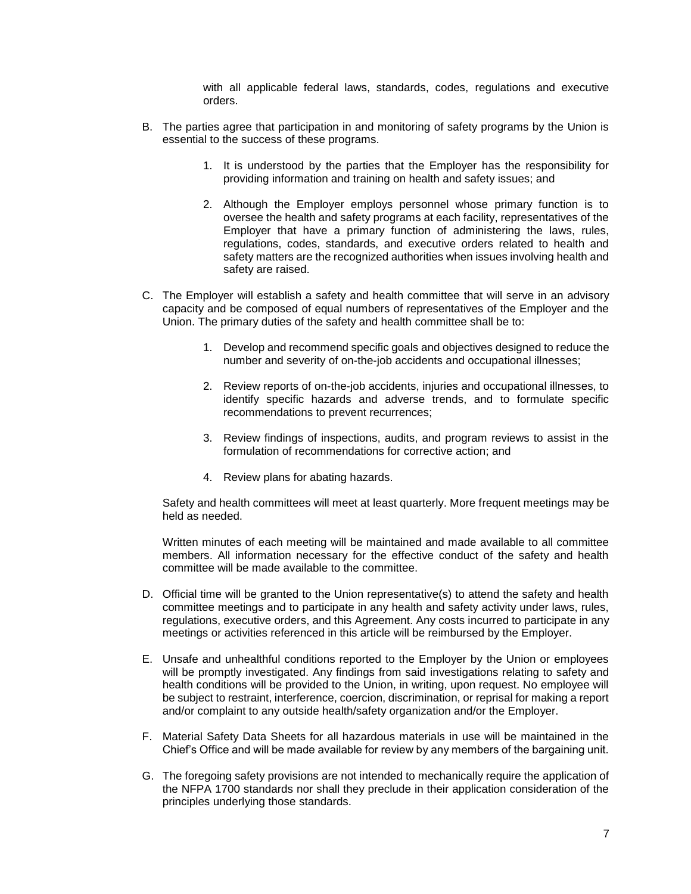with all applicable federal laws, standards, codes, regulations and executive orders.

- B. The parties agree that participation in and monitoring of safety programs by the Union is essential to the success of these programs.
	- 1. It is understood by the parties that the Employer has the responsibility for providing information and training on health and safety issues; and
	- 2. Although the Employer employs personnel whose primary function is to oversee the health and safety programs at each facility, representatives of the Employer that have a primary function of administering the laws, rules, regulations, codes, standards, and executive orders related to health and safety matters are the recognized authorities when issues involving health and safety are raised.
- C. The Employer will establish a safety and health committee that will serve in an advisory capacity and be composed of equal numbers of representatives of the Employer and the Union. The primary duties of the safety and health committee shall be to:
	- 1. Develop and recommend specific goals and objectives designed to reduce the number and severity of on-the-job accidents and occupational illnesses;
	- 2. Review reports of on-the-job accidents, injuries and occupational illnesses, to identify specific hazards and adverse trends, and to formulate specific recommendations to prevent recurrences;
	- 3. Review findings of inspections, audits, and program reviews to assist in the formulation of recommendations for corrective action; and
	- 4. Review plans for abating hazards.

Safety and health committees will meet at least quarterly. More frequent meetings may be held as needed.

Written minutes of each meeting will be maintained and made available to all committee members. All information necessary for the effective conduct of the safety and health committee will be made available to the committee.

- D. Official time will be granted to the Union representative(s) to attend the safety and health committee meetings and to participate in any health and safety activity under laws, rules, regulations, executive orders, and this Agreement. Any costs incurred to participate in any meetings or activities referenced in this article will be reimbursed by the Employer.
- E. Unsafe and unhealthful conditions reported to the Employer by the Union or employees will be promptly investigated. Any findings from said investigations relating to safety and health conditions will be provided to the Union, in writing, upon request. No employee will be subject to restraint, interference, coercion, discrimination, or reprisal for making a report and/or complaint to any outside health/safety organization and/or the Employer.
- F. Material Safety Data Sheets for all hazardous materials in use will be maintained in the Chief's Office and will be made available for review by any members of the bargaining unit.
- G. The foregoing safety provisions are not intended to mechanically require the application of the NFPA 1700 standards nor shall they preclude in their application consideration of the principles underlying those standards.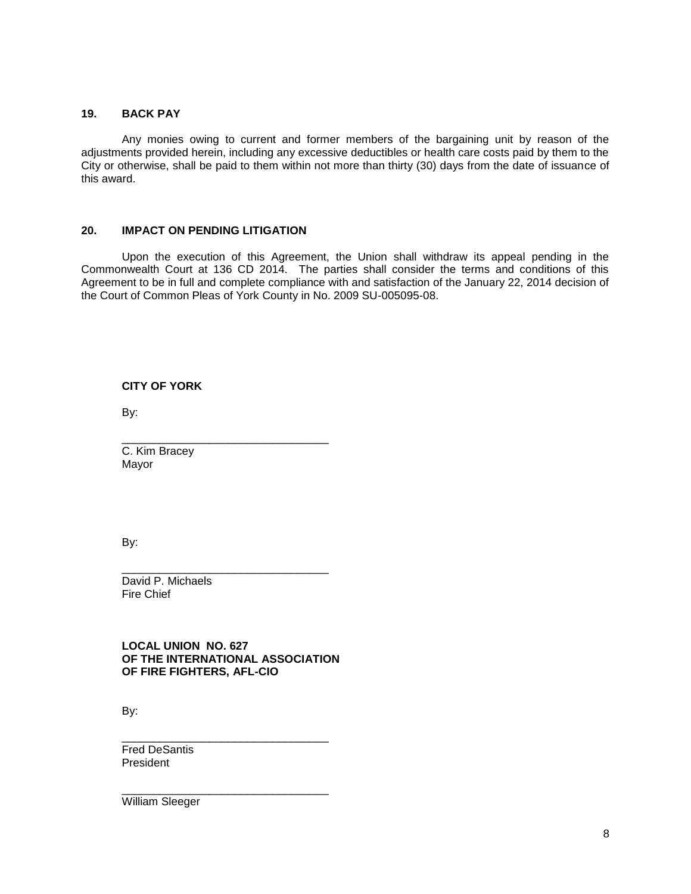## **19. BACK PAY**

Any monies owing to current and former members of the bargaining unit by reason of the adjustments provided herein, including any excessive deductibles or health care costs paid by them to the City or otherwise, shall be paid to them within not more than thirty (30) days from the date of issuance of this award.

## **20. IMPACT ON PENDING LITIGATION**

Upon the execution of this Agreement, the Union shall withdraw its appeal pending in the Commonwealth Court at 136 CD 2014. The parties shall consider the terms and conditions of this Agreement to be in full and complete compliance with and satisfaction of the January 22, 2014 decision of the Court of Common Pleas of York County in No. 2009 SU-005095-08.

**CITY OF YORK**

By:

C. Kim Bracey Mayor

By:

David P. Michaels Fire Chief

**LOCAL UNION NO. 627 OF THE INTERNATIONAL ASSOCIATION OF FIRE FIGHTERS, AFL-CIO**

\_\_\_\_\_\_\_\_\_\_\_\_\_\_\_\_\_\_\_\_\_\_\_\_\_\_\_\_\_\_\_\_\_

\_\_\_\_\_\_\_\_\_\_\_\_\_\_\_\_\_\_\_\_\_\_\_\_\_\_\_\_\_\_\_\_\_

\_\_\_\_\_\_\_\_\_\_\_\_\_\_\_\_\_\_\_\_\_\_\_\_\_\_\_\_\_\_\_\_\_

\_\_\_\_\_\_\_\_\_\_\_\_\_\_\_\_\_\_\_\_\_\_\_\_\_\_\_\_\_\_\_\_\_

By:

Fred DeSantis President

William Sleeger